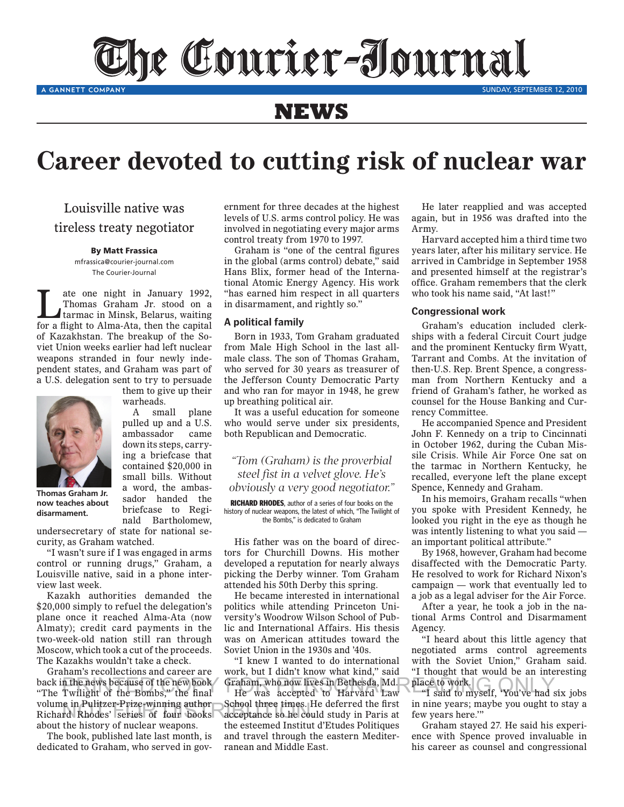The Courier-Iournal

SUNDAY, SEPTEMBER 12, 2010

## **NEWS**

# **Career devoted to cutting risk of nuclear war**

Louisville native was tireless treaty negotiator

A GANNETT COMPANY

#### By Matt Frassica

mfrassica@courier-journal.com The Courier-Journal

Thomas Graham Jr. stood on a<br>tarmac in Minsk, Belarus, waiting<br>for a dight to himself lines. Thomas Graham Jr. stood on a for a flight to Alma-Ata, then the capital of Kazakhstan. The breakup of the Soviet Union weeks earlier had left nuclear weapons stranded in four newly inde- male class. The son of Thomas Graham, Tarrant and Combs pendent states, and Graham was part of a U.S. delegation sent to try to persuade

them to give up their

A small plane pulled up and a U.S. ambassador came down its steps, carryabwrite steps, early contained \$20,000 in **Example 420,000** in<br>small bills. Without a word, the ambas-

warheads.

small bills.



**Thomas Graham Jr.** now teaches about need the agency also a uisarmanient.

sador handed the briefcase to Regipriercase to Regi-<br>nald Bartholomew,

undersecretary of state for national seexpressively be stated and the matter. undersecretary of state for national

eurity, as Graham watched.<br>"I wasn't sure if I was engaged in arms"  $control$  or running drugs," Graham, a Louisville native, said in a phone interview last week. control or running drugs," Graham, was engaged in al articipate in a priorite in

view last week.<br>Kazakh authorities demanded the  $$20,000$  simply to refuel the delegation's  $p = 9,000$  simply to the acceptation  $\sigma$  hand  $\sigma$ Almaty); credit card payments in the  $two-week-old nation still ran through$ Moscow, which took a cut of the proceeds. moseow, when it can deal of the proceed<br>The Kazakhs wouldn't take a check. \$20,000 simply to refuel the delegation two-week-old nation still ties d  $\lim_{n \to \infty}$  Allia-Ala n't take a check.

Graham's recollections and career are back in the news because of the new book "The Twilight of the Bombs," the final volume in Pulitzer-Prize-winning author volume in Pulitzer-Prize-winning author School three times. H<br>Richard Rhodes' series of four books acceptance so he cou about the history of nuclear weapons. back in the news because of the new booth.<br>"The Twilight of the Bomba" the fine n the news because of the new book Graham, who now lives in Bethesda, Md. place to work.<br>Twilight of the Bombs," the final He was accepted to Harvard Law "I said to myself, 'You've had six nuclear weapons

The book, published late last month, is dedicated to Graham, who served in govdedicated to G<sub>1</sub>

ernment for three decades at the highest levels of U.S. arms control policy. He was involved in negotiating every major arms control treaty from 1970 to 1997.

Graham is "one of the central figures in the global (arms control) debate," said Hans Blix, former head of the International Atomic Energy Agency. His work "has earned him respect in all quarters in disarmament, and rightly so."

#### **A political family**

Born in 1933, Tom Graham graduated from Male High School in the last allmale class. The son of Thomas Graham, who served for 30 years as treasurer of the Jefferson County Democratic Party and who ran for mayor in 1948, he grew warheads. up breathing political air. counsel for the House I

It was a useful education for someone who would serve under six presidents, both Republican and Democratic. pulled up and a U.S. who would serve under six presidents, He accompanied<br>ambassador came both Republican and Democratic. John F. Kennedy down its atoms community

> *"Tom (Graham) is the proverbial steel fist in a velvet glove. He's obviously a very good negotiator."*

RICHARD RHODES, author of a series of four books on the history of nuclear weapons, the latest of which, "The Twilight of the Bombs," is dedicated to Graham

His father was on the board of directors for Churchill Downs. His mother developed a reputation for nearly always picking the Derby winner. Tom Graham attended his 50th Derby this spring.  $\alpha$  reference a reputation  $\sum_{n=1}^{\infty}$ resentatives.<br>Presidentes  $\frac{101 \text{ heavy}}{2}$ 

He became interested in international politics while attending Princeton University's Woodrow Wilson School of Public and International Affairs. His thesis was on American attitudes toward the Soviet Union in the 1930s and '40s. pontics while attent was on American  $\mathbf{h}_{\text{max}}$  of  $\mathbf{h}_{\text{max}}$   $\mathbf{h}_{\text{max}}$ ing Princeton Unipresident for the formulation of the set of the set of the set of the set of the set of the set of the set of the s  $\mu$ <sup>1</sup>  $\mu$ <sup>2</sup>  $\mu$ <sup>2</sup>  $\mu$ <sup>2</sup>  $\mu$ <sup>2</sup>  $\mu$ <sup>2</sup>  $\mu$ <sup>2</sup>  $\mu$ <sup>2</sup>  $\mu$ <sup>2</sup>  $\mu$ <sup>2</sup>  $\mu$ <sup>2</sup>  $\mu$ <sup>2</sup>  $\mu$ <sup>2</sup>  $\mu$ <sup>2</sup>  $\mu$ <sup>2</sup>  $\mu$ <sup>2</sup>  $\mu$ <sup>2</sup>  $\mu$ <sup>2</sup>  $\mu$ <sup>2</sup>  $\mu$ <sup>2</sup>  $\mu$ <sup>2</sup>  $\mu$ <sup>2</sup>  $\mu$ <sup>2</sup>  $\mu$ <sup>2</sup>  $\mu$ <sup>2</sup>  $\mu$ <sup>2</sup>  $\mu$ <sup>2</sup>  $\mu$ <sup></sup>

"I knew I wanted to do international work, but I didn't know what kind," said work, but I uldn't know what kind, sald<br>Graham, who now lives in Bethesda, Md. Granam, who now if  $\frac{1}{2}$  what Kind, sald

He was accepted to Harvard Law School three times. He deferred the first acceptance so he could study in Paris at the esteemed Institut d'Etudes Politiques and travel through the eastern Mediterranean and Middle East. acce I alleall and middle to dolori od the m study in Paris at don't the control the control have the second the second the second the second term in the second term in the second term in the second term in the second term in the second term in the second term in the second term in th  $\mathbf{B}$ ust,  $\mathbf{B}$ 

He later reapplied and was accepted again, but in 1956 was drafted into the Army.

Harvard accepted him a third time two years later, after his military service. He arrived in Cambridge in September 1958 and presented himself at the registrar's office. Graham remembers that the clerk who took his name said, "At last!"

#### **Congressional work**

Graham's education included clerkships with a federal Circuit Court judge and the prominent Kentucky firm Wyatt, Tarrant and Combs. At the invitation of then-U.S. Rep. Brent Spence, a congressman from Northern Kentucky and a friend of Graham's father, he worked as counsel for the House Banking and Currency Committee.

He accompanied Spence and President John F. Kennedy on a trip to Cincinnati in October 1962, during the Cuban Mism octoor 1961, and me octoon him the tarmac in Northern Kentucky, he recalled, everyone left the plane except Spence, Kennedy and Graham. re Crisis. While All  $\epsilon$ , is not the board of the board of the board of the board of the board of the board of the board of the board of the board of the board of the board of the board of the board of the board of the board of the board of

In his memoirs, Graham recalls "when you spoke with President Kennedy, he looked you right in the eye as though he was intently listening to what you said  $$ an important political attribute." as intently ristening to

By 1968, however, Graham had become disaffected with the Democratic Party. He resolved to work for Richard Nixon's  $campa$ ign  $-$  work that eventually led to a job as a legal adviser for the Air Force. is allected with the D

After a year, he took a job in the national Arms Control and Disarmament Agency. Arter a year, ne toor

"I heard about this little agency that negotiated arms control agreements with the Soviet Union," Graham said. "I thought that would be an interesting place to work.  $\frac{1}{1}$  in Early about this  $\frac{1}{2}$  thought that would

"I said to myself, 'You've had six jobs in nine years; maybe you ought to stay a m nne years, maybe year.  $ew$  years here.

Graham stayed 27. He said his experience with Spence proved invaluable in more while opening proved invariance in  $\alpha$  calcel as counser a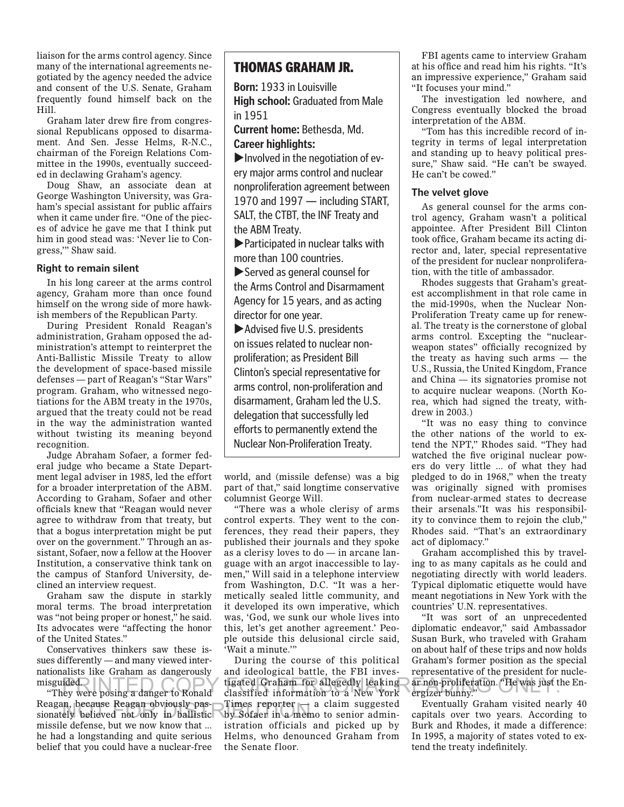liaison for the arms control agency. Since many of the international agreements negotiated by the agency needed the advice and consent of the U.S. Senate, Graham frequently found himself back on the Hill.

Graham later drew fire from congressional Republicans opposed to disarmament. And Sen. Jesse Helms, R-N.C., chairman of the Foreign Relations Committee in the 1990s, eventually succeeded in declawing Graham's agency.

Doug Shaw, an associate dean at George Washington University, was Graham's special assistant for public affairs when it came under fire. "One of the pieces of advice he gave me that I think put him in good stead was: 'Never lie to Congress,'" Shaw said.

#### **Right to remain silent**

In his long career at the arms control agency, Graham more than once found himself on the wrong side of more hawkish members of the Republican Party.

During President Ronald Reagan's administration, Graham opposed the administration's attempt to reinterpret the Anti-Ballistic Missile Treaty to allow the development of space-based missile defenses — part of Reagan's "Star Wars" program. Graham, who witnessed negotiations for the ABM treaty in the 1970s, argued that the treaty could not be read in the way the administration wanted without twisting its meaning beyond recognition.

Judge Abraham Sofaer, a former federal judge who became a State Department legal adviser in 1985, led the effort for a broader interpretation of the ABM. According to Graham, Sofaer and other officials knew that "Reagan would never agree to withdraw from that treaty, but that a bogus interpretation might be put over on the government." Through an assistant, Sofaer, now a fellow at the Hoover Institution, a conservative think tank on the campus of Stanford University, declined an interview request.

Graham saw the dispute in starkly moral terms. The broad interpretation was "not being proper or honest," he said. Its advocates were "affecting the honor of the United States."

Conservatives thinkers saw these issues differently — and many viewed internationalists like Graham as dangerously misguided.

"They were posing a danger to Ronald Reagan, because Reagan obviously pas-Reagan, because Reagan obviously pas-<br>sionately believed not only in ballistic by Sofaer in a memor missile defense, but we now know that ... he had a longstanding and quite serious belief that you could have a nuclear-free

### THOMAS GRAHAM JR.

**Born:** 1933 in Louisville **High school:** Graduated from Male in 1951

**Current home:** Bethesda, Md. **Career highlights:**

 $\blacktriangleright$  Involved in the negotiation of every major arms control and nuclear nonproliferation agreement between 1970 and 1997 — including START, SALT, the CTBT, the INF Treaty and the ABM Treaty.

 $\blacktriangleright$  Participated in nuclear talks with more than 100 countries.

 $\blacktriangleright$  Served as general counsel for the Arms Control and Disarmament Agency for 15 years, and as acting director for one year.

 $\blacktriangleright$  Advised five U.S. presidents on issues related to nuclear nonproliferation; as President Bill Clinton's special representative for arms control, non-proliferation and disarmament, Graham led the U.S. delegation that successfully led efforts to permanently extend the Nuclear Non-Proliferation Treaty.

world, and (missile defense) was a big part of that," said longtime conservative columnist George Will.

"There was a whole clerisy of arms control experts. They went to the conferences, they read their papers, they published their journals and they spoke as a clerisy loves to do — in arcane language with an argot inaccessible to laymen," Will said in a telephone interview from Washington, D.C. "It was a hermetically sealed little community, and it developed its own imperative, which was, 'God, we sunk our whole lives into this, let's get another agreement.' People outside this delusional circle said, 'Wait a minute.'"

During the course of this political and ideological battle, the FBI investigated Graham for allegedly leaking PRINTED COPY FOR PERSONAL READING ONLY. classified information to a New York Times reporter — a claim suggested by Sofaer in a memo to senior administration officials and picked up by Helms, who denounced Graham from the Senate floor.

FBI agents came to interview Graham at his office and read him his rights. "It's an impressive experience," Graham said "It focuses your mind."

The investigation led nowhere, and Congress eventually blocked the broad interpretation of the ABM.

"Tom has this incredible record of integrity in terms of legal interpretation and standing up to heavy political pressure," Shaw said. "He can't be swayed. He can't be cowed."

#### **The velvet glove**

As general counsel for the arms control agency, Graham wasn't a political appointee. After President Bill Clinton took office, Graham became its acting director and, later, special representative of the president for nuclear nonproliferation, with the title of ambassador.

Rhodes suggests that Graham's greatest accomplishment in that role came in the mid-1990s, when the Nuclear Non-Proliferation Treaty came up for renewal. The treaty is the cornerstone of global arms control. Excepting the "nuclearweapon states" officially recognized by the treaty as having such arms — the U.S., Russia, the United Kingdom, France and China — its signatories promise not to acquire nuclear weapons. (North Korea, which had signed the treaty, withdrew in 2003.)

"It was no easy thing to convince the other nations of the world to extend the NPT," Rhodes said. "They had watched the five original nuclear powers do very little ... of what they had pledged to do in 1968," when the treaty was originally signed with promises from nuclear-armed states to decrease their arsenals."It was his responsibility to convince them to rejoin the club," Rhodes said. "That's an extraordinary act of diplomacy."

Graham accomplished this by traveling to as many capitals as he could and negotiating directly with world leaders. Typical diplomatic etiquette would have meant negotiations in New York with the countries' U.N. representatives.

"It was sort of an unprecedented diplomatic endeavor," said Ambassador Susan Burk, who traveled with Graham on about half of these trips and now holds Graham's former position as the special representative of the president for nuclear non-proliferation. "He was just the Energizer bunny."

Eventually Graham visited nearly 40 capitals over two years. According to Burk and Rhodes, it made a difference: In 1995, a majority of states voted to extend the treaty indefinitely.